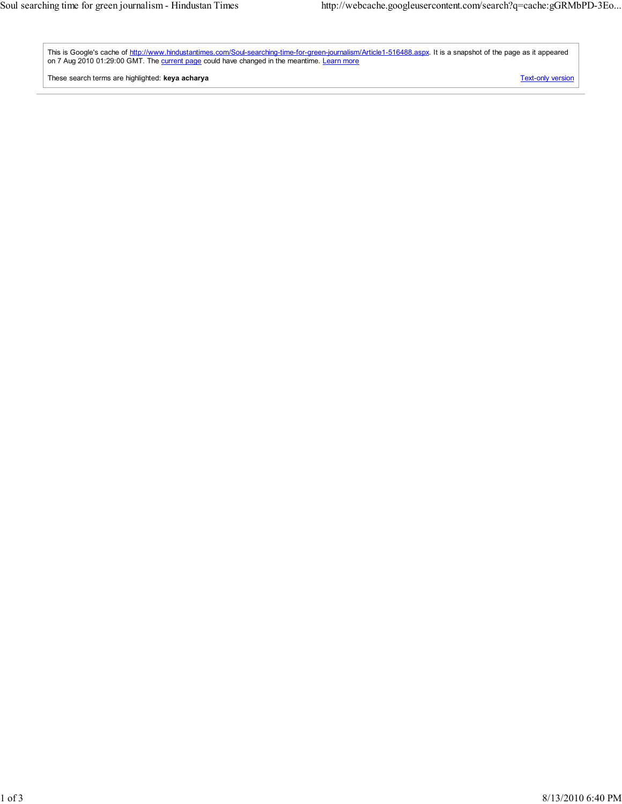This is Google's cache of http://www.hindustantimes.com/Soul-searching-time-for-green-journalism/Article1-516488.aspx. It is a snapshot of the page as it appeared on 7 Aug 2010 01:29:00 GMT. The current page could have changed in the meantime. Learn more

These search terms are highlighted: keya acharya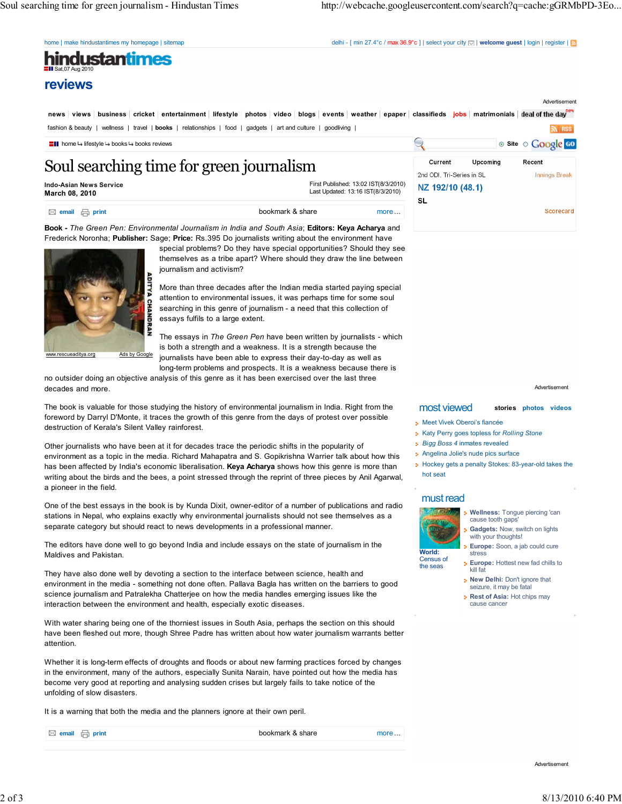home | make hindustantimes my homepage | sitemap delhi - [ min 27.4°c / max 36.9°c ] | select your city  $\boxdot$  | welcome guest | login | register |  $\Box$ 

## hindustantimes Sat,07 Aug 2010

reviews

news views business cricket entertainment lifestyle photos video blogs events weather epaper classifieds jobs matrimonials deal of the day fashion & beauty | wellness | travel | books | relationships | food | gadgets | art and culture | goodliving |  $\mathbb{R}$  RSS

## Soul searching time for green journalism

Indo-Asian News Service March 08, 2010

First Published: 13:02 IST(8/3/2010) Last Updated: 13:16 IST(8/3/2010)

 $\boxtimes$  email  $\boxminus$  print bookmark & share more ... Book - The Green Pen: Environmental Journalism in India and South Asia; Editors: Keya Acharya and

Frederick Noronha; Publisher: Sage; Price: Rs.395 Do journalists writing about the environment have



www.rescueaditya.org Ads by Google

special problems? Do they have special opportunities? Should they see themselves as a tribe apart? Where should they draw the line between journalism and activism?

More than three decades after the Indian media started paying special attention to environmental issues, it was perhaps time for some soul searching in this genre of journalism - a need that this collection of essays fulfils to a large extent.

The essays in The Green Pen have been written by journalists - which is both a strength and a weakness. It is a strength because the journalists have been able to express their day-to-day as well as

long-term problems and prospects. It is a weakness because there is no outsider doing an objective analysis of this genre as it has been exercised over the last three decades and more.

The book is valuable for those studying the history of environmental journalism in India. Right from the foreword by Darryl D'Monte, it traces the growth of this genre from the days of protest over possible destruction of Kerala's Silent Valley rainforest.

Other journalists who have been at it for decades trace the periodic shifts in the popularity of environment as a topic in the media. Richard Mahapatra and S. Gopikrishna Warrier talk about how this has been affected by India's economic liberalisation. Keya Acharya shows how this genre is more than writing about the birds and the bees, a point stressed through the reprint of three pieces by Anil Agarwal, a pioneer in the field.

One of the best essays in the book is by Kunda Dixit, owner-editor of a number of publications and radio stations in Nepal, who explains exactly why environmental journalists should not see themselves as a separate category but should react to news developments in a professional manner.

The editors have done well to go beyond India and include essays on the state of journalism in the Maldives and Pakistan.

They have also done well by devoting a section to the interface between science, health and environment in the media - something not done often. Pallava Bagla has written on the barriers to good science journalism and Patralekha Chatterjee on how the media handles emerging issues like the interaction between the environment and health, especially exotic diseases.

With water sharing being one of the thorniest issues in South Asia, perhaps the section on this should have been fleshed out more, though Shree Padre has written about how water journalism warrants better attention.

Whether it is long-term effects of droughts and floods or about new farming practices forced by changes in the environment, many of the authors, especially Sunita Narain, have pointed out how the media has become very good at reporting and analysing sudden crises but largely fails to take notice of the unfolding of slow disasters.

It is a warning that both the media and the planners ignore at their own peril.

 $\boxtimes$  email  $\bigoplus$  print  $\Box$  and  $\Box$  bookmark & share more ...



Advertisement

Advertisement

## most viewed stories photos videos

- **Meet Vivek Oberoi's fiancée**
- **Katy Perry goes topless for Rolling Stone**
- **Bigg Boss 4 inmates revealed**
- Angelina Jolie's nude pics surface
- **Hockey gets a penalty Stokes: 83-year-old takes the** hot seat

## must read



Wellness: Tongue piercing 'can cause tooth gap

- **Gadgets: Now, switch on lights**
- with your thoughts! Europe: Soon, a jab could cure stress

Census of the seas

- Europe: Hottest new fad chills to ö kill fat **New Delhi: Don't ignore that**
- seizure, it may be fatal
- Rest of Asia: Hot chips may cause cancer